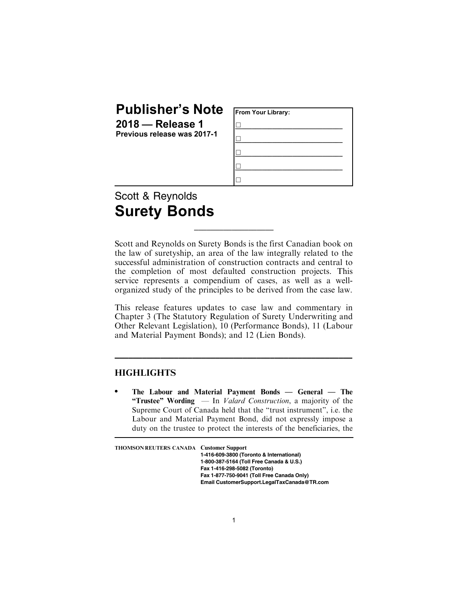## Publisher's Note

2018 — Release 1 Previous release was 2017-1

| From Your Library: |  |  |
|--------------------|--|--|
|                    |  |  |
|                    |  |  |
|                    |  |  |
|                    |  |  |
|                    |  |  |

## Scott & Reynolds Surety Bonds

Scott and Reynolds on Surety Bonds is the first Canadian book on the law of suretyship, an area of the law integrally related to the successful administration of construction contracts and central to the completion of most defaulted construction projects. This service represents a compendium of cases, as well as a wellorganized study of the principles to be derived from the case law.

\_\_\_\_\_\_\_\_\_\_\_\_\_\_\_\_\_\_\_

This release features updates to case law and commentary in Chapter 3 (The Statutory Regulation of Surety Underwriting and Other Relevant Legislation), 10 (Performance Bonds), 11 (Labour and Material Payment Bonds); and 12 (Lien Bonds).

\_\_\_\_\_\_\_\_\_\_\_\_\_\_\_\_\_\_\_\_\_\_\_\_\_\_\_\_\_\_\_\_\_\_\_\_\_\_\_\_\_\_\_\_\_\_\_\_\_\_\_\_

## **HIGHLIGHTS**

. The Labour and Material Payment Bonds — General — The "Trustee" Wording  $-$  In *Valard Construction*, a majority of the Supreme Court of Canada held that the "trust instrument", i.e. the Labour and Material Payment Bond, did not expressly impose a duty on the trustee to protect the interests of the beneficiaries, the

| THOMSON REUTERS CANADA Customer Support |                                             |
|-----------------------------------------|---------------------------------------------|
|                                         |                                             |
|                                         | 1-416-609-3800 (Toronto & International)    |
|                                         | 1-800-387-5164 (Toll Free Canada & U.S.)    |
|                                         | Fax 1-416-298-5082 (Toronto)                |
|                                         | Fax 1-877-750-9041 (Toll Free Canada Only)  |
|                                         | Email CustomerSupport.LegalTaxCanada@TR.com |
|                                         |                                             |